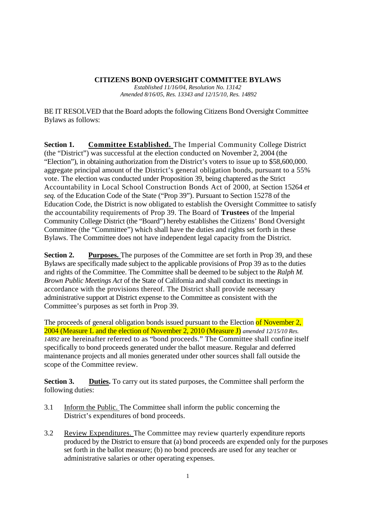#### **CITIZENS BOND OVERSIGHT COMMITTEE BYLAWS**

*Established 11/16/04, Resolution No. 13142 Amended 8/16/05, Res. 13343 and 12/15/10, Res. 14892*

BE IT RESOLVED that the Board adopts the following Citizens Bond Oversight Committee Bylaws as follows:

**Section 1. Committee Established.** The Imperial Community College District (the "District") was successful at the election conducted on November 2, 2004 (the "Election"), in obtaining authorization from the District's voters to issue up to \$58,600,000. aggregate principal amount of the District's general obligation bonds, pursuant to a 55% vote. The election was conducted under Proposition 39, being chaptered as the Strict Accountability in Local School Construction Bonds Act of 2000, at Section 15264 *et seq.* of the Education Code of the State ("Prop 39"). Pursuant to Section 15278 of the Education Code, the District is now obligated to establish the Oversight Committee to satisfy the accountability requirements of Prop 39. The Board of **Trustees** of the Imperial Community College District (the "Board") hereby establishes the Citizens' Bond Oversight Committee (the "Committee") which shall have the duties and rights set forth in these Bylaws. The Committee does not have independent legal capacity from the District.

**Section 2. Purposes.** The purposes of the Committee are set forth in Prop 39, and these Bylaws are specifically made subject to the applicable provisions of Prop 39 as to the duties and rights of the Committee. The Committee shall be deemed to be subject to the *Ralph M. Brown Public Meetings Act* of the State of California and shall conduct its meetings in accordance with the provisions thereof. The District shall provide necessary administrative support at District expense to the Committee as consistent with the Committee's purposes as set forth in Prop 39.

The proceeds of general obligation bonds issued pursuant to the Election of November 2, 2004 (Measure L and the election of November 2, 2010 (Measure J) *amended 12/15/10 Res. 14892* are hereinafter referred to as "bond proceeds." The Committee shall confine itself specifically to bond proceeds generated under the ballot measure. Regular and deferred maintenance projects and all monies generated under other sources shall fall outside the scope of the Committee review.

**Section 3. Duties.** To carry out its stated purposes, the Committee shall perform the following duties:

- 3.1 Inform the Public. The Committee shall inform the public concerning the District's expenditures of bond proceeds.
- 3.2 Review Expenditures. The Committee may review quarterly expenditure reports produced by the District to ensure that (a) bond proceeds are expended only for the purposes set forth in the ballot measure; (b) no bond proceeds are used for any teacher or administrative salaries or other operating expenses.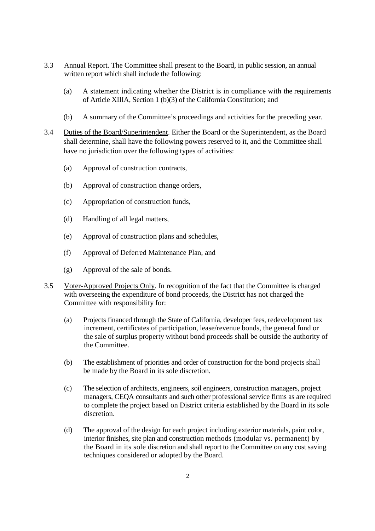- 3.3 Annual Report. The Committee shall present to the Board, in public session, an annual written report which shall include the following:
	- (a) A statement indicating whether the District is in compliance with the requirements of Article XIIIA, Section 1 (b)(3) of the California Constitution; and
	- (b) A summary of the Committee's proceedings and activities for the preceding year.
- 3.4 Duties of the Board/Superintendent. Either the Board or the Superintendent, as the Board shall determine, shall have the following powers reserved to it, and the Committee shall have no jurisdiction over the following types of activities:
	- (a) Approval of construction contracts,
	- (b) Approval of construction change orders,
	- (c) Appropriation of construction funds,
	- (d) Handling of all legal matters,
	- (e) Approval of construction plans and schedules,
	- (f) Approval of Deferred Maintenance Plan, and
	- (g) Approval of the sale of bonds.
- 3.5 Voter-Approved Projects Only. In recognition of the fact that the Committee is charged with overseeing the expenditure of bond proceeds, the District has not charged the Committee with responsibility for:
	- (a) Projects financed through the State of California, developer fees, redevelopment tax increment, certificates of participation, lease/revenue bonds, the general fund or the sale of surplus property without bond proceeds shall be outside the authority of the Committee.
	- (b) The establishment of priorities and order of construction for the bond projects shall be made by the Board in its sole discretion.
	- (c) The selection of architects, engineers, soil engineers, construction managers, project managers, CEQA consultants and such other professional service firms as are required to complete the project based on District criteria established by the Board in its sole discretion.
	- (d) The approval of the design for each project including exterior materials, paint color, interior finishes, site plan and construction methods (modular vs. permanent) by the Board in its sole discretion and shall report to the Committee on any cost saving techniques considered or adopted by the Board.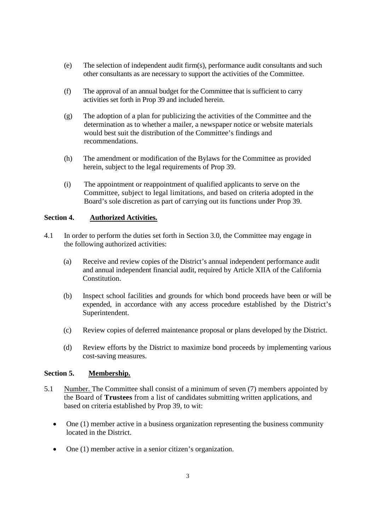- (e) The selection of independent audit firm(s), performance audit consultants and such other consultants as are necessary to support the activities of the Committee.
- (f) The approval of an annual budget for the Committee that is sufficient to carry activities set forth in Prop 39 and included herein.
- (g) The adoption of a plan for publicizing the activities of the Committee and the determination as to whether a mailer, a newspaper notice or website materials would best suit the distribution of the Committee's findings and recommendations.
- (h) The amendment or modification of the Bylaws for the Committee as provided herein, subject to the legal requirements of Prop 39.
- (i) The appointment or reappointment of qualified applicants to serve on the Committee, subject to legal limitations, and based on criteria adopted in the Board's sole discretion as part of carrying out its functions under Prop 39.

# **Section 4. Authorized Activities.**

- 4.1 In order to perform the duties set forth in Section 3.0, the Committee may engage in the following authorized activities:
	- (a) Receive and review copies of the District's annual independent performance audit and annual independent financial audit, required by Article XIIA of the California Constitution.
	- (b) Inspect school facilities and grounds for which bond proceeds have been or will be expended, in accordance with any access procedure established by the District's Superintendent.
	- (c) Review copies of deferred maintenance proposal or plans developed by the District.
	- (d) Review efforts by the District to maximize bond proceeds by implementing various cost-saving measures.

### **Section 5. Membership.**

- 5.1 Number. The Committee shall consist of a minimum of seven (7) members appointed by the Board of **Trustees** from a list of candidates submitting written applications, and based on criteria established by Prop 39, to wit:
	- One (1) member active in a business organization representing the business community located in the District.
	- One (1) member active in a senior citizen's organization.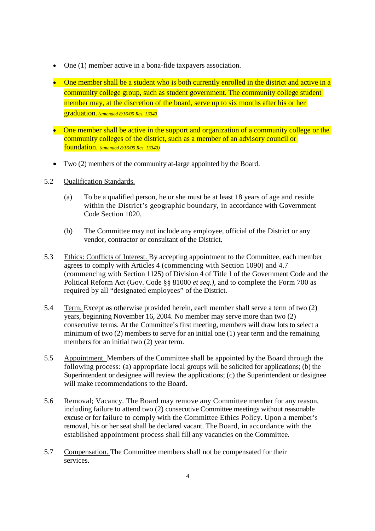- One (1) member active in a bona-fide taxpayers association.
- One member shall be a student who is both currently enrolled in the district and active in a community college group, such as student government. The community college student member may, at the discretion of the board, serve up to six months after his or her graduation. *(amended 8/16/05 Res. 13343*
- One member shall be active in the support and organization of a community college or the community colleges of the district, such as a member of an advisory council or foundation. *(amended 8/16/05 Res. 13343)*
- Two (2) members of the community at-large appointed by the Board.
- 5.2 Qualification Standards.
	- (a) To be a qualified person, he or she must be at least 18 years of age and reside within the District's geographic boundary, in accordance with Government Code Section 1020.
	- (b) The Committee may not include any employee, official of the District or any vendor, contractor or consultant of the District.
- 5.3 Ethics: Conflicts of Interest. By accepting appointment to the Committee, each member agrees to comply with Articles 4 (commencing with Section 1090) and 4.7 (commencing with Section 1125) of Division 4 of Title 1 of the Government Code and the Political Reform Act (Gov. Code §§ 81000 *et seq.),* and to complete the Form 700 as required by all "designated employees" of the District.
- 5.4 Term. Except as otherwise provided herein, each member shall serve a term of two (2) years, beginning November 16, 2004. No member may serve more than two (2) consecutive terms. At the Committee's first meeting, members will draw lots to select a minimum of two (2) members to serve for an initial one (1) year term and the remaining members for an initial two  $(2)$  year term.
- 5.5 Appointment. Members of the Committee shall be appointed by the Board through the following process: (a) appropriate local groups will be solicited for applications; (b) the Superintendent or designee will review the applications; (c) the Superintendent or designee will make recommendations to the Board.
- 5.6 Removal; Vacancy. The Board may remove any Committee member for any reason, including failure to attend two (2) consecutive Committee meetings without reasonable excuse or for failure to comply with the Committee Ethics Policy. Upon a member's removal, his or her seat shall be declared vacant. The Board, in accordance with the established appointment process shall fill any vacancies on the Committee.
- 5.7 Compensation. The Committee members shall not be compensated for their services.